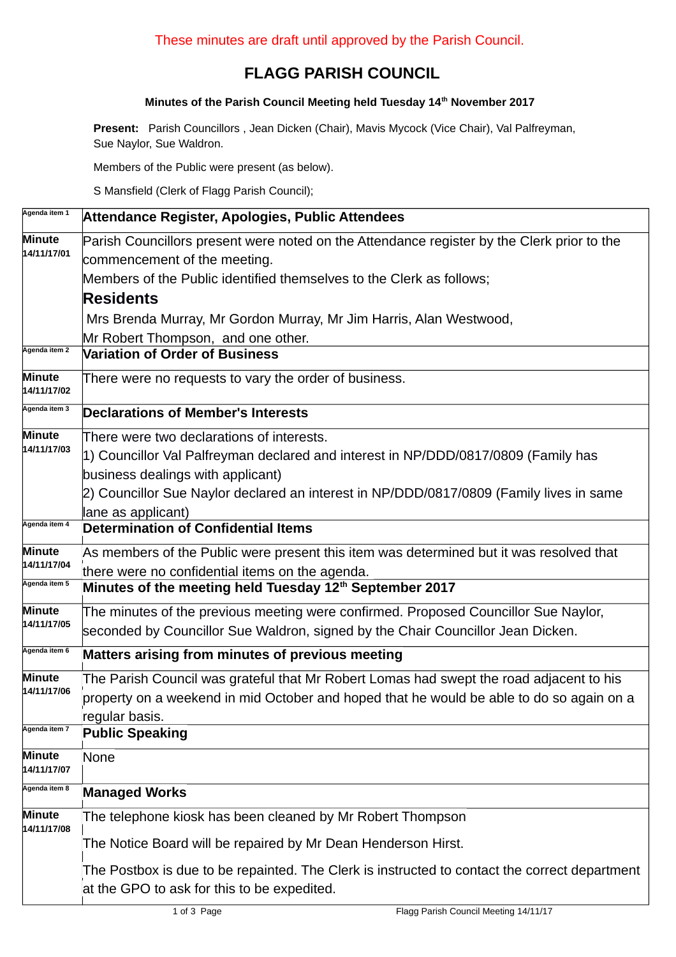## **FLAGG PARISH COUNCIL**

## **Minutes of the Parish Council Meeting held Tuesday 14th November 2017**

**Present:** Parish Councillors , Jean Dicken (Chair), Mavis Mycock (Vice Chair), Val Palfreyman, Sue Naylor, Sue Waldron.

Members of the Public were present (as below).

S Mansfield (Clerk of Flagg Parish Council);

| Agenda item 1                | Attendance Register, Apologies, Public Attendees                                                                                             |  |  |  |  |  |
|------------------------------|----------------------------------------------------------------------------------------------------------------------------------------------|--|--|--|--|--|
| <b>Minute</b><br>14/11/17/01 | Parish Councillors present were noted on the Attendance register by the Clerk prior to the                                                   |  |  |  |  |  |
|                              | commencement of the meeting.                                                                                                                 |  |  |  |  |  |
|                              | Members of the Public identified themselves to the Clerk as follows;                                                                         |  |  |  |  |  |
|                              | <b>Residents</b>                                                                                                                             |  |  |  |  |  |
|                              | Mrs Brenda Murray, Mr Gordon Murray, Mr Jim Harris, Alan Westwood,                                                                           |  |  |  |  |  |
|                              | Mr Robert Thompson, and one other.                                                                                                           |  |  |  |  |  |
| Agenda item 2                | <b>Variation of Order of Business</b>                                                                                                        |  |  |  |  |  |
| Minute<br>14/11/17/02        | There were no requests to vary the order of business.                                                                                        |  |  |  |  |  |
| Agenda item 3                | <b>Declarations of Member's Interests</b>                                                                                                    |  |  |  |  |  |
| <b>Minute</b><br>14/11/17/03 | There were two declarations of interests.                                                                                                    |  |  |  |  |  |
|                              | 1) Councillor Val Palfreyman declared and interest in NP/DDD/0817/0809 (Family has                                                           |  |  |  |  |  |
|                              | business dealings with applicant)                                                                                                            |  |  |  |  |  |
|                              | 2) Councillor Sue Naylor declared an interest in NP/DDD/0817/0809 (Family lives in same                                                      |  |  |  |  |  |
|                              | lane as applicant)                                                                                                                           |  |  |  |  |  |
| Agenda item 4                | <b>Determination of Confidential Items</b>                                                                                                   |  |  |  |  |  |
| <b>Minute</b><br>14/11/17/04 | As members of the Public were present this item was determined but it was resolved that                                                      |  |  |  |  |  |
|                              | there were no confidential items on the agenda.                                                                                              |  |  |  |  |  |
| Agenda item 5                | Minutes of the meeting held Tuesday 12 <sup>th</sup> September 2017                                                                          |  |  |  |  |  |
| Minute                       | The minutes of the previous meeting were confirmed. Proposed Councillor Sue Naylor,                                                          |  |  |  |  |  |
| 14/11/17/05                  | seconded by Councillor Sue Waldron, signed by the Chair Councillor Jean Dicken.                                                              |  |  |  |  |  |
| Agenda item 6                | Matters arising from minutes of previous meeting                                                                                             |  |  |  |  |  |
| Minute<br>14/11/17/06        | The Parish Council was grateful that Mr Robert Lomas had swept the road adjacent to his                                                      |  |  |  |  |  |
|                              | property on a weekend in mid October and hoped that he would be able to do so again on a                                                     |  |  |  |  |  |
|                              | regular basis.                                                                                                                               |  |  |  |  |  |
| Agenda item 7                | <b>Public Speaking</b>                                                                                                                       |  |  |  |  |  |
| <b>Minute</b><br>14/11/17/07 | None                                                                                                                                         |  |  |  |  |  |
| Agenda item 8                | <b>Managed Works</b>                                                                                                                         |  |  |  |  |  |
| <b>Minute</b><br>14/11/17/08 | The telephone kiosk has been cleaned by Mr Robert Thompson                                                                                   |  |  |  |  |  |
|                              | The Notice Board will be repaired by Mr Dean Henderson Hirst.                                                                                |  |  |  |  |  |
|                              | The Postbox is due to be repainted. The Clerk is instructed to contact the correct department<br>at the GPO to ask for this to be expedited. |  |  |  |  |  |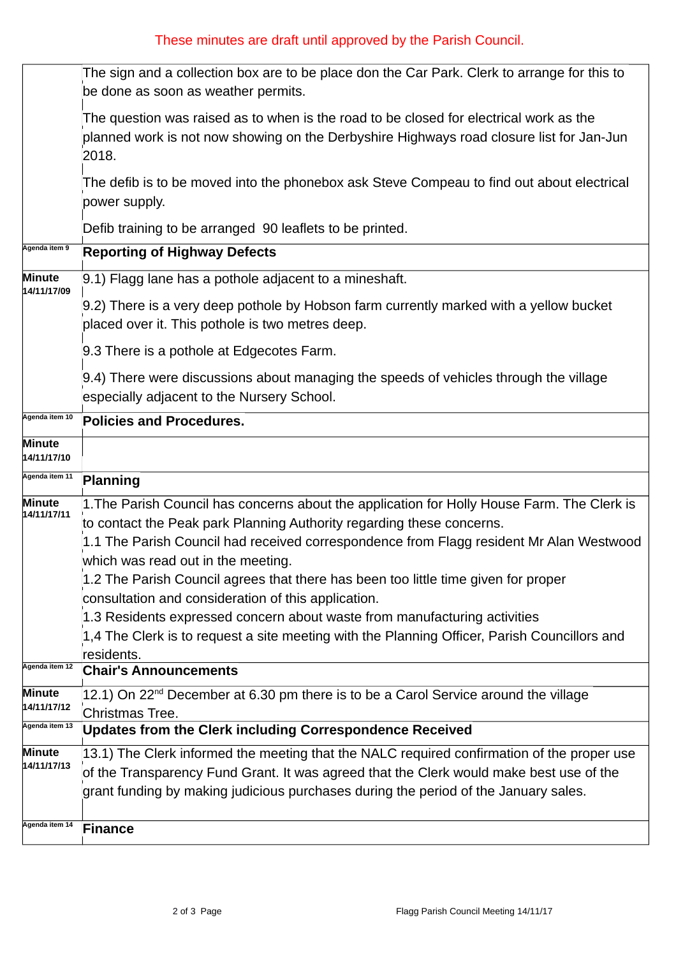## These minutes are draft until approved by the Parish Council.

|                       | The sign and a collection box are to be place don the Car Park. Clerk to arrange for this to<br>be done as soon as weather permits.                                                                                                                                                                   |  |  |  |  |  |
|-----------------------|-------------------------------------------------------------------------------------------------------------------------------------------------------------------------------------------------------------------------------------------------------------------------------------------------------|--|--|--|--|--|
|                       | The question was raised as to when is the road to be closed for electrical work as the<br>planned work is not now showing on the Derbyshire Highways road closure list for Jan-Jun<br>2018.                                                                                                           |  |  |  |  |  |
|                       | The defib is to be moved into the phonebox ask Steve Compeau to find out about electrical<br>power supply.                                                                                                                                                                                            |  |  |  |  |  |
|                       | Defib training to be arranged 90 leaflets to be printed.                                                                                                                                                                                                                                              |  |  |  |  |  |
| Agenda item 9         | <b>Reporting of Highway Defects</b>                                                                                                                                                                                                                                                                   |  |  |  |  |  |
| Minute<br>14/11/17/09 | 9.1) Flagg lane has a pothole adjacent to a mineshaft.                                                                                                                                                                                                                                                |  |  |  |  |  |
|                       | 9.2) There is a very deep pothole by Hobson farm currently marked with a yellow bucket<br>placed over it. This pothole is two metres deep.                                                                                                                                                            |  |  |  |  |  |
|                       | 9.3 There is a pothole at Edgecotes Farm.                                                                                                                                                                                                                                                             |  |  |  |  |  |
|                       | 9.4) There were discussions about managing the speeds of vehicles through the village<br>especially adjacent to the Nursery School.                                                                                                                                                                   |  |  |  |  |  |
| Agenda item 10        | <b>Policies and Procedures.</b>                                                                                                                                                                                                                                                                       |  |  |  |  |  |
| Minute<br>14/11/17/10 |                                                                                                                                                                                                                                                                                                       |  |  |  |  |  |
| Agenda item 11        | Planning                                                                                                                                                                                                                                                                                              |  |  |  |  |  |
| Minute<br>14/11/17/11 | 1. The Parish Council has concerns about the application for Holly House Farm. The Clerk is<br>to contact the Peak park Planning Authority regarding these concerns.<br>1.1 The Parish Council had received correspondence from Flagg resident Mr Alan Westwood<br>which was read out in the meeting. |  |  |  |  |  |
|                       | 1.2 The Parish Council agrees that there has been too little time given for proper                                                                                                                                                                                                                    |  |  |  |  |  |
|                       | consultation and consideration of this application.<br>1.3 Residents expressed concern about waste from manufacturing activities                                                                                                                                                                      |  |  |  |  |  |
|                       | 1,4 The Clerk is to request a site meeting with the Planning Officer, Parish Councillors and                                                                                                                                                                                                          |  |  |  |  |  |
|                       | residents.                                                                                                                                                                                                                                                                                            |  |  |  |  |  |
| Agenda item 12        | <b>Chair's Announcements</b>                                                                                                                                                                                                                                                                          |  |  |  |  |  |
| Minute<br>14/11/17/12 | 12.1) On 22 <sup>nd</sup> December at 6.30 pm there is to be a Carol Service around the village                                                                                                                                                                                                       |  |  |  |  |  |
| Agenda item 13        | Christmas Tree.<br><b>Updates from the Clerk including Correspondence Received</b>                                                                                                                                                                                                                    |  |  |  |  |  |
| Minute                | 13.1) The Clerk informed the meeting that the NALC required confirmation of the proper use                                                                                                                                                                                                            |  |  |  |  |  |
| 14/11/17/13           | of the Transparency Fund Grant. It was agreed that the Clerk would make best use of the                                                                                                                                                                                                               |  |  |  |  |  |
|                       | grant funding by making judicious purchases during the period of the January sales.                                                                                                                                                                                                                   |  |  |  |  |  |
| Agenda item 14        | <b>Finance</b>                                                                                                                                                                                                                                                                                        |  |  |  |  |  |